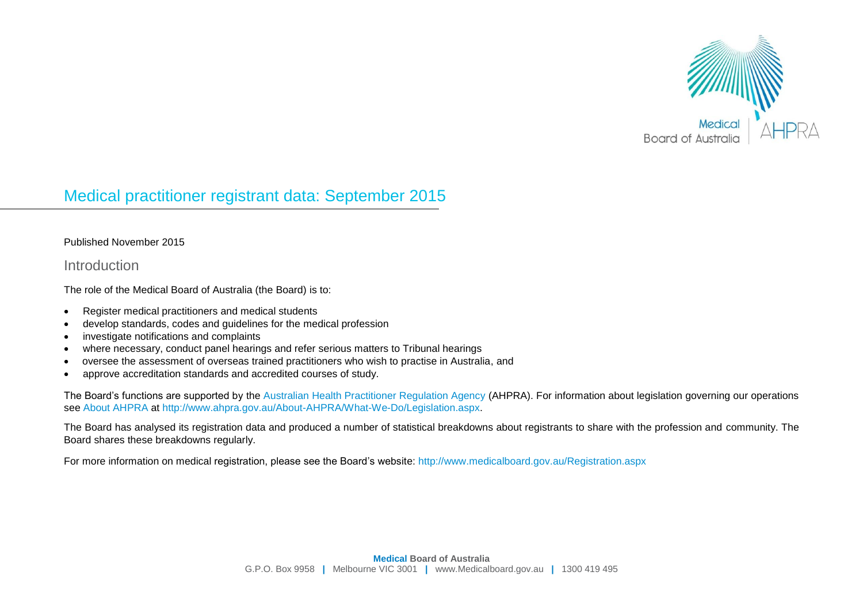

# Medical practitioner registrant data: September 2015

#### Published November 2015

#### Introduction

The role of the Medical Board of Australia (the Board) is to:

- Register medical practitioners and medical students
- develop standards, codes and guidelines for the medical profession
- investigate notifications and complaints
- where necessary, conduct panel hearings and refer serious matters to Tribunal hearings
- oversee the assessment of overseas trained practitioners who wish to practise in Australia, and
- approve accreditation standards and accredited courses of study.

The Board's functions are supported by the [Australian Health Practitioner Regulation Agency](http://www.ahpra.gov.au/) (AHPRA). For information about legislation governing our operations see [About AHPRA](http://www.ahpra.gov.au/About-AHPRA/What-We-Do/Legislation.aspx) at [http://www.ahpra.gov.au/About-AHPRA/What-We-Do/Legislation.aspx.](http://www.ahpra.gov.au/About-AHPRA/What-We-Do/Legislation.aspx)

The Board has analysed its registration data and produced a number of statistical breakdowns about registrants to share with the profession and community. The Board shares these breakdowns regularly.

For more information on medical registration, please see the Board's website:<http://www.medicalboard.gov.au/Registration.aspx>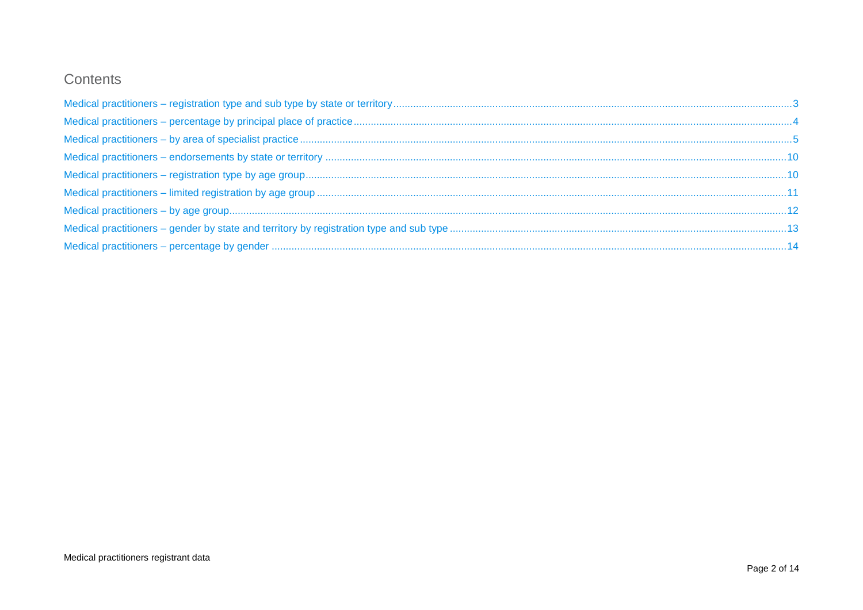## Contents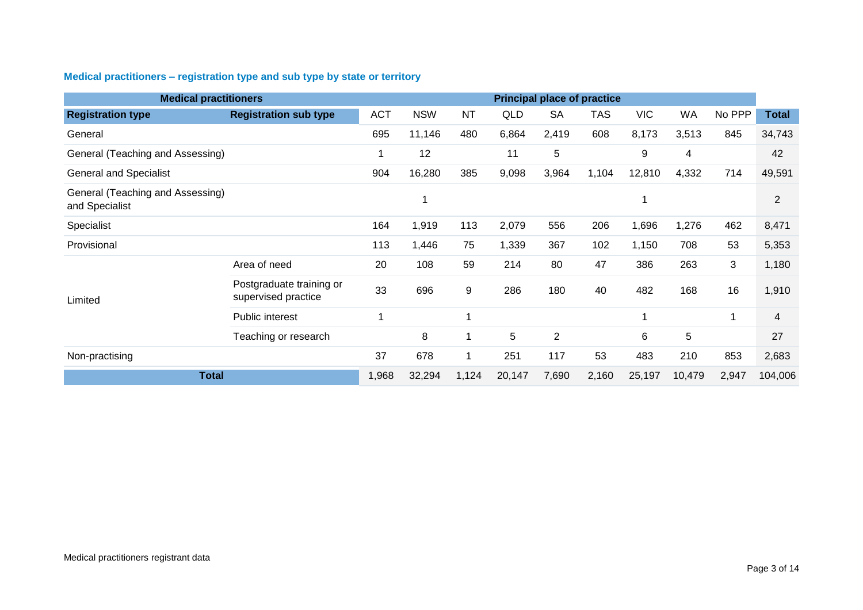### <span id="page-2-0"></span>**Medical practitioners – registration type and sub type by state or territory**

| <b>Medical practitioners</b>                       |                                                 | <b>Principal place of practice</b> |            |        |       |                |            |            |       |         |                |
|----------------------------------------------------|-------------------------------------------------|------------------------------------|------------|--------|-------|----------------|------------|------------|-------|---------|----------------|
| <b>Registration type</b>                           | <b>Registration sub type</b>                    | <b>ACT</b>                         | <b>NSW</b> | NT     | QLD   | <b>SA</b>      | <b>TAS</b> | <b>VIC</b> | WA    | No PPP  | <b>Total</b>   |
| General                                            |                                                 | 695                                | 11,146     | 480    | 6,864 | 2,419          | 608        | 8,173      | 3,513 | 845     | 34,743         |
| General (Teaching and Assessing)                   |                                                 |                                    | 12         |        | 11    | 5              |            | 9          | 4     |         | 42             |
| <b>General and Specialist</b>                      |                                                 | 904                                | 16,280     | 385    | 9,098 | 3,964          | 1,104      | 12,810     | 4,332 | 714     | 49,591         |
| General (Teaching and Assessing)<br>and Specialist |                                                 |                                    |            |        |       |                |            | 1          |       |         | 2              |
| Specialist                                         |                                                 | 164                                | 1,919      | 113    | 2,079 | 556            | 206        | 1,696      | 1,276 | 462     | 8,471          |
| Provisional                                        |                                                 | 113                                | 1,446      | 75     | 1,339 | 367            | 102        | 1,150      | 708   | 53      | 5,353          |
|                                                    | Area of need                                    | 20                                 | 108        | 59     | 214   | 80             | 47         | 386        | 263   | 3       | 1,180          |
| Limited                                            | Postgraduate training or<br>supervised practice | 33                                 | 696        | 9      | 286   | 180            | 40         | 482        | 168   | 16      | 1,910          |
|                                                    | Public interest                                 | -1                                 |            | 1      |       |                |            | 1          |       | 1       | $\overline{4}$ |
|                                                    | Teaching or research                            |                                    | 8          | 1      | 5     | $\overline{2}$ |            | 6          | 5     |         | 27             |
| Non-practising                                     |                                                 | 37                                 | 678        | 1      | 251   | 117            | 53         | 483        | 210   | 853     | 2,683          |
| <b>Total</b>                                       | 1,968                                           | 32,294                             | 1,124      | 20,147 | 7,690 | 2,160          | 25,197     | 10,479     | 2,947 | 104,006 |                |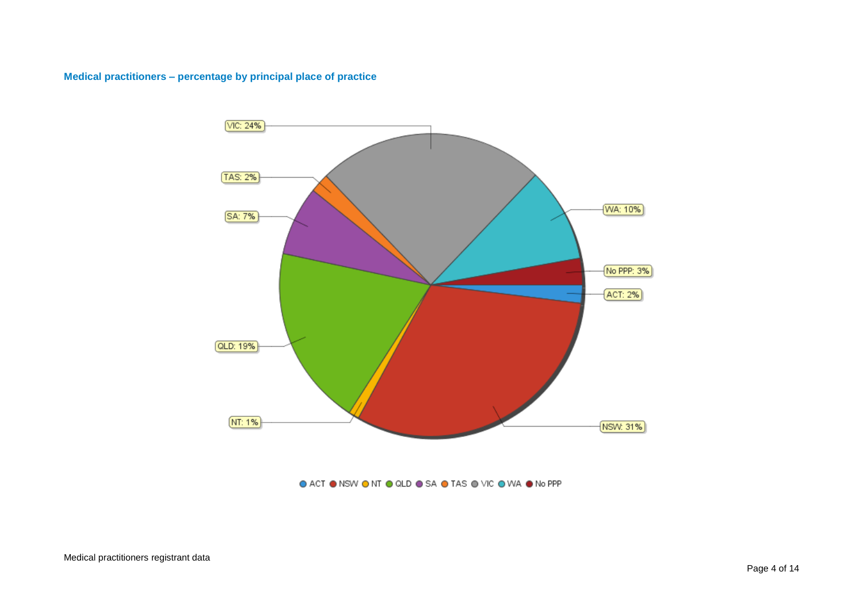#### <span id="page-3-0"></span>**Medical practitioners – percentage by principal place of practice**



#### ● ACT ● NSW ● NT ● QLD ● SA ● TAS ● VIC ● WA ● No PPP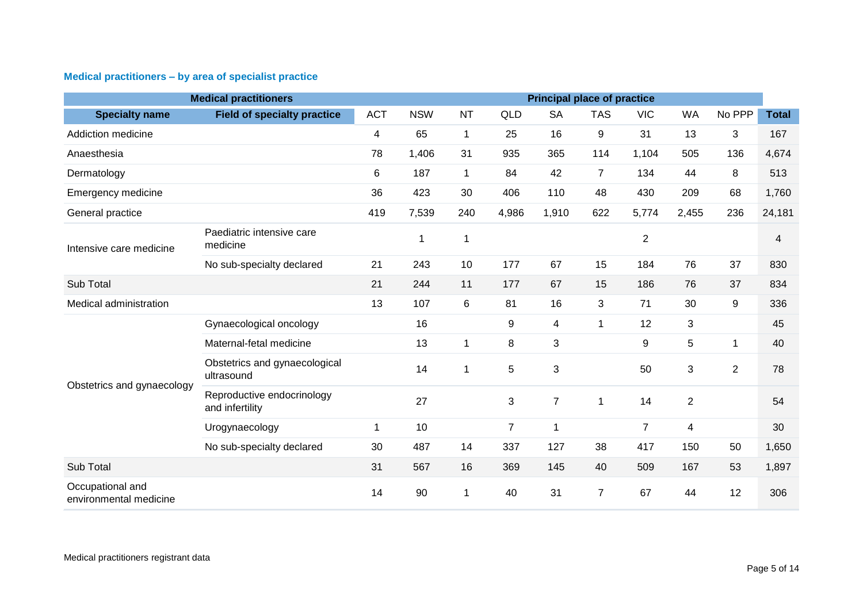### <span id="page-4-0"></span>**Medical practitioners – by area of specialist practice**

|                                            | <b>Medical practitioners</b>                  |             |            |                |                  | <b>Principal place of practice</b> |                |                |                |                |              |
|--------------------------------------------|-----------------------------------------------|-------------|------------|----------------|------------------|------------------------------------|----------------|----------------|----------------|----------------|--------------|
| <b>Specialty name</b>                      | <b>Field of specialty practice</b>            | <b>ACT</b>  | <b>NSW</b> | <b>NT</b>      | QLD              | <b>SA</b>                          | <b>TAS</b>     | <b>VIC</b>     | <b>WA</b>      | No PPP         | <b>Total</b> |
| Addiction medicine                         |                                               | 4           | 65         | 1              | 25               | 16                                 | 9              | 31             | 13             | 3              | 167          |
| Anaesthesia                                |                                               | 78          | 1,406      | 31             | 935              | 365                                | 114            | 1,104          | 505            | 136            | 4,674        |
| Dermatology                                |                                               | 6           | 187        | $\mathbf{1}$   | 84               | 42                                 | $\overline{7}$ | 134            | 44             | 8              | 513          |
| Emergency medicine                         |                                               | 36          | 423        | 30             | 406              | 110                                | 48             | 430            | 209            | 68             | 1,760        |
| General practice                           |                                               | 419         | 7,539      | 240            | 4,986            | 1,910                              | 622            | 5,774          | 2,455          | 236            | 24,181       |
| Intensive care medicine                    | Paediatric intensive care<br>medicine         |             | 1          | 1              |                  |                                    |                | $\overline{2}$ |                |                | 4            |
|                                            | No sub-specialty declared                     | 21          | 243        | 10             | 177              | 67                                 | 15             | 184            | 76             | 37             | 830          |
| Sub Total                                  |                                               | 21          | 244        | 11             | 177              | 67                                 | 15             | 186            | 76             | 37             | 834          |
| Medical administration                     |                                               | 13          | 107        | $6\phantom{1}$ | 81               | 16                                 | 3              | 71             | 30             | 9              | 336          |
|                                            | Gynaecological oncology                       |             | 16         |                | $\boldsymbol{9}$ | $\overline{\mathcal{A}}$           | 1              | 12             | 3              |                | 45           |
|                                            | Maternal-fetal medicine                       |             | 13         | 1              | 8                | $\sqrt{3}$                         |                | 9              | 5              | 1              | 40           |
|                                            | Obstetrics and gynaecological<br>ultrasound   |             | 14         | 1              | 5                | $\mathbf{3}$                       |                | 50             | 3              | $\overline{2}$ | 78           |
| Obstetrics and gynaecology                 | Reproductive endocrinology<br>and infertility |             | 27         |                | $\mathbf{3}$     | $\overline{7}$                     | $\mathbf 1$    | 14             | $\overline{2}$ |                | 54           |
|                                            | Urogynaecology                                | $\mathbf 1$ | 10         |                | $\overline{7}$   | 1                                  |                | $\overline{7}$ | 4              |                | 30           |
|                                            | No sub-specialty declared                     | 30          | 487        | 14             | 337              | 127                                | 38             | 417            | 150            | 50             | 1,650        |
| Sub Total                                  |                                               | 31          | 567        | 16             | 369              | 145                                | 40             | 509            | 167            | 53             | 1,897        |
| Occupational and<br>environmental medicine |                                               | 14          | 90         | $\mathbf{1}$   | 40               | 31                                 | $\overline{7}$ | 67             | 44             | 12             | 306          |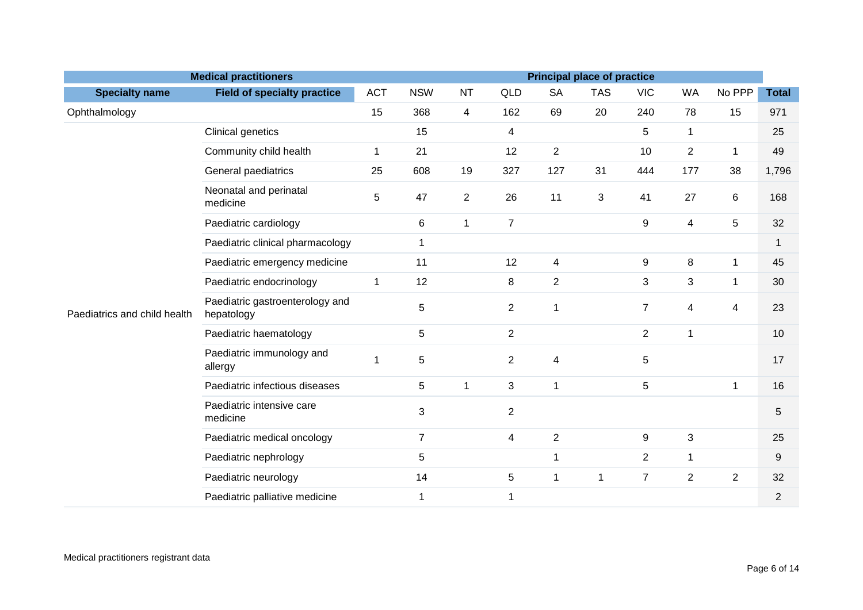|                              | <b>Medical practitioners</b>                  |              |                |                |                |                          | <b>Principal place of practice</b> |                |                |                |                |
|------------------------------|-----------------------------------------------|--------------|----------------|----------------|----------------|--------------------------|------------------------------------|----------------|----------------|----------------|----------------|
| <b>Specialty name</b>        | <b>Field of specialty practice</b>            | <b>ACT</b>   | <b>NSW</b>     | <b>NT</b>      | QLD            | <b>SA</b>                | <b>TAS</b>                         | <b>VIC</b>     | <b>WA</b>      | No PPP         | <b>Total</b>   |
| Ophthalmology                |                                               | 15           | 368            | $\overline{4}$ | 162            | 69                       | 20                                 | 240            | 78             | 15             | 971            |
|                              | Clinical genetics                             |              | 15             |                | 4              |                          |                                    | 5              | $\mathbf{1}$   |                | 25             |
|                              | Community child health                        | 1            | 21             |                | 12             | $\overline{2}$           |                                    | 10             | $\overline{2}$ | 1              | 49             |
|                              | General paediatrics                           | 25           | 608            | 19             | 327            | 127                      | 31                                 | 444            | 177            | 38             | 1,796          |
|                              | Neonatal and perinatal<br>medicine            | 5            | 47             | $\overline{2}$ | 26             | 11                       | 3                                  | 41             | 27             | 6              | 168            |
|                              | Paediatric cardiology                         |              | 6              | $\mathbf{1}$   | $\overline{7}$ |                          |                                    | 9              | $\overline{4}$ | 5              | 32             |
|                              | Paediatric clinical pharmacology              |              | $\mathbf 1$    |                |                |                          |                                    |                |                |                | 1              |
|                              | Paediatric emergency medicine                 |              | 11             |                | 12             | $\overline{\mathbf{4}}$  |                                    | 9              | 8              | $\mathbf{1}$   | 45             |
|                              | Paediatric endocrinology                      | $\mathbf{1}$ | 12             |                | 8              | $\overline{2}$           |                                    | 3              | 3              | 1              | 30             |
| Paediatrics and child health | Paediatric gastroenterology and<br>hepatology |              | 5              |                | $\overline{2}$ | $\mathbf{1}$             |                                    | $\overline{7}$ | 4              | $\overline{4}$ | 23             |
|                              | Paediatric haematology                        |              | 5              |                | $\overline{2}$ |                          |                                    | $\overline{2}$ | $\mathbf{1}$   |                | 10             |
|                              | Paediatric immunology and<br>allergy          | 1            | 5              |                | $\overline{2}$ | $\overline{\mathcal{A}}$ |                                    | 5              |                |                | 17             |
|                              | Paediatric infectious diseases                |              | 5              | $\mathbf{1}$   | 3              | $\mathbf{1}$             |                                    | 5              |                | $\mathbf{1}$   | 16             |
|                              | Paediatric intensive care<br>medicine         |              | 3              |                | $\overline{2}$ |                          |                                    |                |                |                | 5              |
|                              | Paediatric medical oncology                   |              | $\overline{7}$ |                | $\overline{4}$ | $\overline{2}$           |                                    | 9              | 3              |                | 25             |
|                              | Paediatric nephrology                         |              | 5              |                |                | 1                        |                                    | $\overline{2}$ | 1              |                | 9              |
|                              | Paediatric neurology                          |              | 14             |                | $\sqrt{5}$     | $\mathbf 1$              | 1                                  | $\overline{7}$ | $\overline{2}$ | $\overline{2}$ | 32             |
|                              | Paediatric palliative medicine                |              | $\mathbf{1}$   |                | $\mathbf 1$    |                          |                                    |                |                |                | $\overline{2}$ |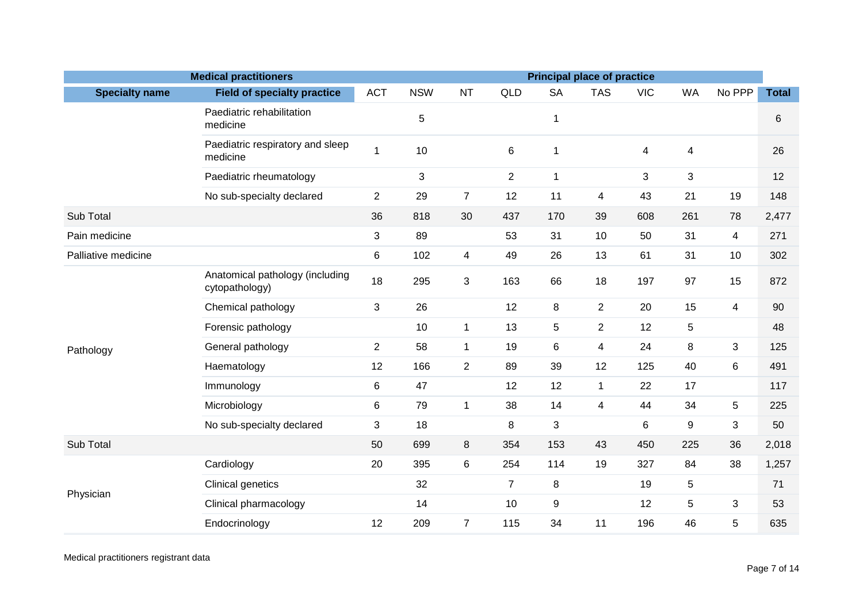| <b>Medical practitioners</b><br><b>Principal place of practice</b> |                                                   |                |            |                          |                |                  |                         |            |             |                |              |
|--------------------------------------------------------------------|---------------------------------------------------|----------------|------------|--------------------------|----------------|------------------|-------------------------|------------|-------------|----------------|--------------|
| <b>Specialty name</b>                                              | <b>Field of specialty practice</b>                | <b>ACT</b>     | <b>NSW</b> | <b>NT</b>                | QLD            | <b>SA</b>        | <b>TAS</b>              | <b>VIC</b> | <b>WA</b>   | No PPP         | <b>Total</b> |
|                                                                    | Paediatric rehabilitation<br>medicine             |                | 5          |                          |                | 1                |                         |            |             |                | 6            |
|                                                                    | Paediatric respiratory and sleep<br>medicine      | 1              | 10         |                          | $6\phantom{1}$ | $\mathbf{1}$     |                         | 4          | 4           |                | 26           |
|                                                                    | Paediatric rheumatology                           |                | 3          |                          | $\overline{2}$ | $\mathbf{1}$     |                         | 3          | 3           |                | 12           |
|                                                                    | No sub-specialty declared                         | $\overline{c}$ | 29         | $\overline{7}$           | 12             | 11               | $\overline{\mathbf{4}}$ | 43         | 21          | 19             | 148          |
| Sub Total                                                          |                                                   | 36             | 818        | 30                       | 437            | 170              | 39                      | 608        | 261         | 78             | 2,477        |
| Pain medicine                                                      |                                                   | 3              | 89         |                          | 53             | 31               | 10                      | 50         | 31          | 4              | 271          |
| Palliative medicine                                                |                                                   | 6              | 102        | $\overline{\mathcal{A}}$ | 49             | 26               | 13                      | 61         | 31          | 10             | 302          |
|                                                                    | Anatomical pathology (including<br>cytopathology) | 18             | 295        | 3                        | 163            | 66               | 18                      | 197        | 97          | 15             | 872          |
|                                                                    | Chemical pathology                                | 3              | 26         |                          | 12             | 8                | $\overline{c}$          | 20         | 15          | $\overline{4}$ | 90           |
|                                                                    | Forensic pathology                                |                | 10         | $\mathbf{1}$             | 13             | $\sqrt{5}$       | $\overline{2}$          | 12         | $\mathbf 5$ |                | 48           |
| Pathology                                                          | General pathology                                 | $\overline{2}$ | 58         | $\mathbf{1}$             | 19             | 6                | $\overline{4}$          | 24         | 8           | $\mathbf{3}$   | 125          |
|                                                                    | Haematology                                       | 12             | 166        | $\overline{2}$           | 89             | 39               | 12                      | 125        | 40          | 6              | 491          |
|                                                                    | Immunology                                        | 6              | 47         |                          | 12             | 12               | $\mathbf 1$             | 22         | 17          |                | 117          |
|                                                                    | Microbiology                                      | 6              | 79         | $\mathbf{1}$             | 38             | 14               | $\overline{4}$          | 44         | 34          | 5              | 225          |
|                                                                    | No sub-specialty declared                         | 3              | 18         |                          | 8              | $\sqrt{3}$       |                         | 6          | 9           | 3              | 50           |
| Sub Total                                                          |                                                   | 50             | 699        | 8                        | 354            | 153              | 43                      | 450        | 225         | 36             | 2,018        |
|                                                                    | Cardiology                                        | 20             | 395        | 6                        | 254            | 114              | 19                      | 327        | 84          | 38             | 1,257        |
| Physician                                                          | Clinical genetics                                 |                | 32         |                          | $\overline{7}$ | 8                |                         | 19         | 5           |                | 71           |
|                                                                    | Clinical pharmacology                             |                | 14         |                          | 10             | $\boldsymbol{9}$ |                         | 12         | 5           | 3              | 53           |
|                                                                    | Endocrinology                                     | 12             | 209        | $\overline{7}$           | 115            | 34               | 11                      | 196        | 46          | 5              | 635          |

Medical practitioners registrant data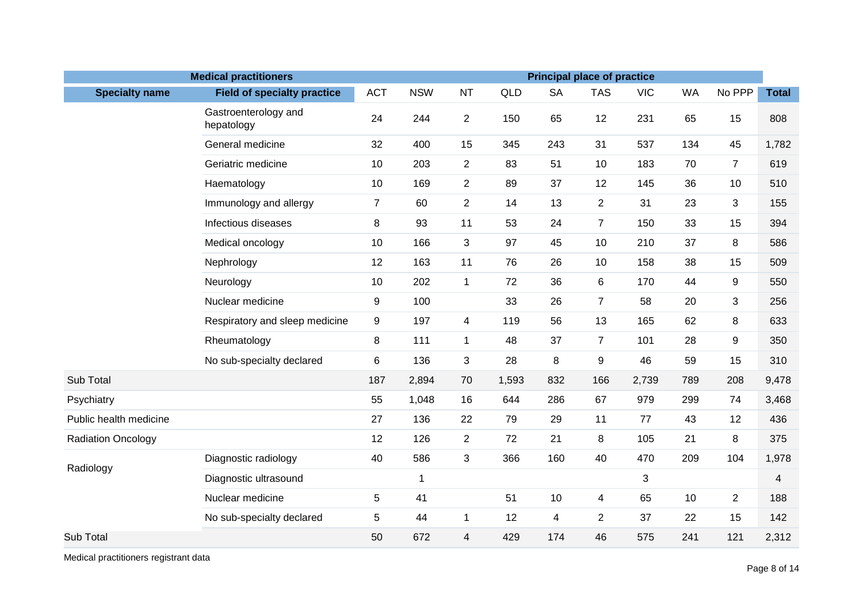| <b>Medical practitioners</b> |                                    |                |             |                |       |           |                | <b>Principal place of practice</b> |           |                |              |
|------------------------------|------------------------------------|----------------|-------------|----------------|-------|-----------|----------------|------------------------------------|-----------|----------------|--------------|
| <b>Specialty name</b>        | <b>Field of specialty practice</b> | <b>ACT</b>     | <b>NSW</b>  | <b>NT</b>      | QLD   | <b>SA</b> | <b>TAS</b>     | <b>VIC</b>                         | <b>WA</b> | No PPP         | <b>Total</b> |
|                              | Gastroenterology and<br>hepatology | 24             | 244         | $\overline{2}$ | 150   | 65        | 12             | 231                                | 65        | 15             | 808          |
|                              | General medicine                   | 32             | 400         | 15             | 345   | 243       | 31             | 537                                | 134       | 45             | 1,782        |
|                              | Geriatric medicine                 | 10             | 203         | $\overline{2}$ | 83    | 51        | 10             | 183                                | 70        | $\overline{7}$ | 619          |
|                              | Haematology                        | 10             | 169         | $\overline{2}$ | 89    | 37        | 12             | 145                                | 36        | 10             | 510          |
|                              | Immunology and allergy             | $\overline{7}$ | 60          | $\overline{2}$ | 14    | 13        | $\overline{2}$ | 31                                 | 23        | 3              | 155          |
|                              | Infectious diseases                | 8              | 93          | 11             | 53    | 24        | $\overline{7}$ | 150                                | 33        | 15             | 394          |
|                              | Medical oncology                   | 10             | 166         | 3              | 97    | 45        | 10             | 210                                | 37        | 8              | 586          |
|                              | Nephrology                         | 12             | 163         | 11             | 76    | 26        | 10             | 158                                | 38        | 15             | 509          |
|                              | Neurology                          | 10             | 202         | $\mathbf{1}$   | 72    | 36        | 6              | 170                                | 44        | 9              | 550          |
|                              | Nuclear medicine                   | 9              | 100         |                | 33    | 26        | $\overline{7}$ | 58                                 | 20        | 3              | 256          |
|                              | Respiratory and sleep medicine     | 9              | 197         | 4              | 119   | 56        | 13             | 165                                | 62        | 8              | 633          |
|                              | Rheumatology                       | 8              | 111         | $\mathbf{1}$   | 48    | 37        | $\overline{7}$ | 101                                | 28        | 9              | 350          |
|                              | No sub-specialty declared          | 6              | 136         | 3              | 28    | 8         | 9              | 46                                 | 59        | 15             | 310          |
| Sub Total                    |                                    | 187            | 2,894       | 70             | 1,593 | 832       | 166            | 2,739                              | 789       | 208            | 9,478        |
| Psychiatry                   |                                    | 55             | 1,048       | 16             | 644   | 286       | 67             | 979                                | 299       | 74             | 3,468        |
| Public health medicine       |                                    | 27             | 136         | 22             | 79    | 29        | 11             | 77                                 | 43        | 12             | 436          |
| <b>Radiation Oncology</b>    |                                    | 12             | 126         | $\overline{2}$ | 72    | 21        | 8              | 105                                | 21        | 8              | 375          |
| Radiology                    | Diagnostic radiology               | 40             | 586         | 3              | 366   | 160       | 40             | 470                                | 209       | 104            | 1,978        |
|                              | Diagnostic ultrasound              |                | $\mathbf 1$ |                |       |           |                | 3                                  |           |                | 4            |
|                              | Nuclear medicine                   | 5              | 41          |                | 51    | 10        | $\overline{4}$ | 65                                 | 10        | $\overline{2}$ | 188          |
|                              | No sub-specialty declared          | 5              | 44          | $\mathbf{1}$   | 12    | 4         | $\overline{2}$ | 37                                 | 22        | 15             | 142          |
| Sub Total                    |                                    | 50             | 672         | $\overline{4}$ | 429   | 174       | 46             | 575                                | 241       | 121            | 2,312        |

Medical practitioners registrant data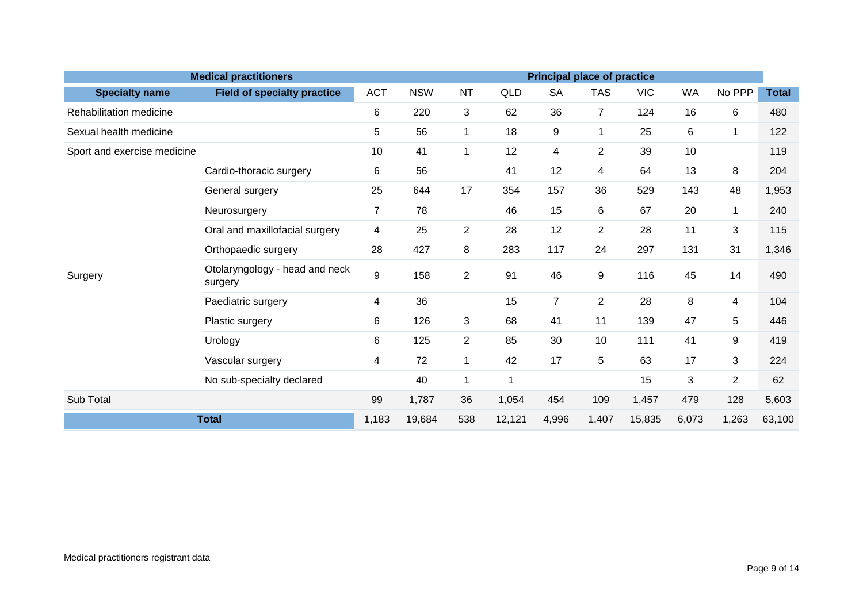|                             | <b>Medical practitioners</b>              |                |            |                |       |                  | <b>Principal place of practice</b> |            |           |                |              |  |  |  |  |
|-----------------------------|-------------------------------------------|----------------|------------|----------------|-------|------------------|------------------------------------|------------|-----------|----------------|--------------|--|--|--|--|
| <b>Specialty name</b>       | <b>Field of specialty practice</b>        | <b>ACT</b>     | <b>NSW</b> | <b>NT</b>      | QLD   | <b>SA</b>        | <b>TAS</b>                         | <b>VIC</b> | <b>WA</b> | No PPP         | <b>Total</b> |  |  |  |  |
| Rehabilitation medicine     |                                           | 6              | 220        | 3              | 62    | 36               | $\overline{7}$                     | 124        | 16        | 6              | 480          |  |  |  |  |
| Sexual health medicine      |                                           | 5              | 56         | $\mathbf{1}$   | 18    | $\boldsymbol{9}$ |                                    | 25         | 6         | 1              | 122          |  |  |  |  |
| Sport and exercise medicine |                                           | 10             | 41         | $\mathbf{1}$   | 12    | 4                | $\overline{2}$                     | 39         | 10        |                | 119          |  |  |  |  |
|                             | Cardio-thoracic surgery                   | 6              | 56         |                | 41    | 12               | 4                                  | 64         | 13        | 8              | 204          |  |  |  |  |
|                             | General surgery                           | 25             | 644        | 17             | 354   | 157              | 36                                 | 529        | 143       | 48             | 1,953        |  |  |  |  |
|                             | Neurosurgery                              | $\overline{7}$ | 78         |                | 46    | 15               | 6                                  | 67         | 20        | 1              | 240          |  |  |  |  |
|                             | Oral and maxillofacial surgery            | 4              | 25         | $\overline{2}$ | 28    | 12               | $\overline{2}$                     | 28         | 11        | 3              | 115          |  |  |  |  |
|                             | Orthopaedic surgery                       | 28             | 427        | 8              | 283   | 117              | 24                                 | 297        | 131       | 31             | 1,346        |  |  |  |  |
| Surgery                     | Otolaryngology - head and neck<br>surgery | 9              | 158        | $\overline{2}$ | 91    | 46               | 9                                  | 116        | 45        | 14             | 490          |  |  |  |  |
|                             | Paediatric surgery                        | 4              | 36         |                | 15    | $\overline{7}$   | $\overline{2}$                     | 28         | 8         | $\overline{4}$ | 104          |  |  |  |  |
|                             | Plastic surgery                           | 6              | 126        | 3              | 68    | 41               | 11                                 | 139        | 47        | 5              | 446          |  |  |  |  |
|                             | Urology                                   | 6              | 125        | $\overline{2}$ | 85    | 30               | 10                                 | 111        | 41        | 9              | 419          |  |  |  |  |
|                             | Vascular surgery                          | 4              | 72         | $\mathbf{1}$   | 42    | 17               | 5                                  | 63         | 17        | 3              | 224          |  |  |  |  |
|                             | No sub-specialty declared                 |                | 40         | $\mathbf{1}$   | -1    |                  |                                    | 15         | 3         | $\overline{2}$ | 62           |  |  |  |  |
| Sub Total                   |                                           |                | 1,787      | 36             | 1,054 | 454              | 109                                | 1,457      | 479       | 128            | 5,603        |  |  |  |  |
| <b>Total</b>                | 1,183                                     | 19,684         | 538        | 12,121         | 4,996 | 1,407            | 15,835                             | 6,073      | 1,263     | 63,100         |              |  |  |  |  |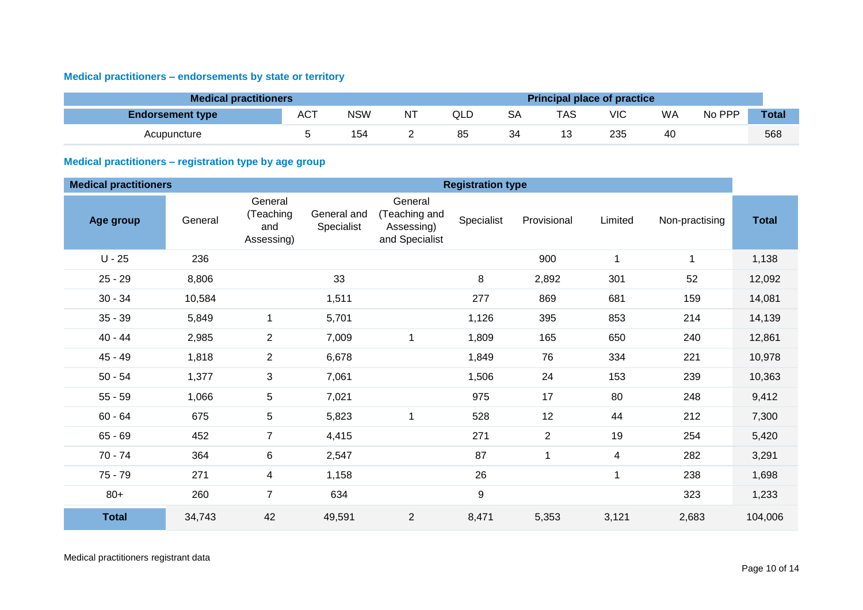### <span id="page-9-0"></span>**Medical practitioners – endorsements by state or territory**

| <b>Medical practitioners</b> |            |            |    |     |           | <b>Principal place of practice</b> |     |    |        |              |
|------------------------------|------------|------------|----|-----|-----------|------------------------------------|-----|----|--------|--------------|
| <b>Endorsement type</b>      | <b>ACT</b> | <b>NSW</b> | ΝT | QLD | <b>SA</b> | TAS                                | VIC | WA | No PPP | <b>Total</b> |
| Acupuncture                  |            | 154        |    | 85  | 34        | 13                                 | 235 | 40 |        | 568          |

### <span id="page-9-1"></span>**Medical practitioners – registration type by age group**

| <b>Medical practitioners</b> |         |                                           |                           |                                                          | <b>Registration type</b> |                  |                         |                |              |
|------------------------------|---------|-------------------------------------------|---------------------------|----------------------------------------------------------|--------------------------|------------------|-------------------------|----------------|--------------|
| Age group                    | General | General<br>(Teaching<br>and<br>Assessing) | General and<br>Specialist | General<br>(Teaching and<br>Assessing)<br>and Specialist | Specialist               | Provisional      | Limited                 | Non-practising | <b>Total</b> |
| $U - 25$                     | 236     |                                           |                           |                                                          |                          | 900              | $\mathbf{1}$            | 1              | 1,138        |
| $25 - 29$                    | 8,806   |                                           | 33                        |                                                          | 8                        | 2,892            | 301                     | 52             | 12,092       |
| $30 - 34$                    | 10,584  |                                           | 1,511                     |                                                          | 277                      | 869              | 681                     | 159            | 14,081       |
| $35 - 39$                    | 5,849   | 1                                         | 5,701                     |                                                          | 1,126                    | 395              | 853                     | 214            | 14,139       |
| $40 - 44$                    | 2,985   | $\overline{c}$                            | 7,009                     | $\mathbf 1$                                              | 1,809                    | 165              | 650                     | 240            | 12,861       |
| $45 - 49$                    | 1,818   | $\mathbf{2}$                              | 6,678                     |                                                          | 1,849                    | 76               | 334                     | 221            | 10,978       |
| $50 - 54$                    | 1,377   | 3                                         | 7,061                     |                                                          | 1,506                    | 24               | 153                     | 239            | 10,363       |
| $55 - 59$                    | 1,066   | 5                                         | 7,021                     |                                                          | 975                      | 17               | 80                      | 248            | 9,412        |
| $60 - 64$                    | 675     | 5                                         | 5,823                     | 1                                                        | 528                      | 12               | 44                      | 212            | 7,300        |
| $65 - 69$                    | 452     | $\overline{7}$                            | 4,415                     |                                                          | 271                      | $\boldsymbol{2}$ | 19                      | 254            | 5,420        |
| $70 - 74$                    | 364     | 6                                         | 2,547                     |                                                          | 87                       | $\mathbf{1}$     | $\overline{\mathbf{4}}$ | 282            | 3,291        |
| $75 - 79$                    | 271     | 4                                         | 1,158                     |                                                          | 26                       |                  | $\mathbf 1$             | 238            | 1,698        |
| $80+$                        | 260     | $\overline{7}$                            | 634                       |                                                          | $\boldsymbol{9}$         |                  |                         | 323            | 1,233        |
| <b>Total</b>                 | 34,743  | 42                                        | 49,591                    | $\overline{2}$                                           | 8,471                    | 5,353            | 3,121                   | 2,683          | 104,006      |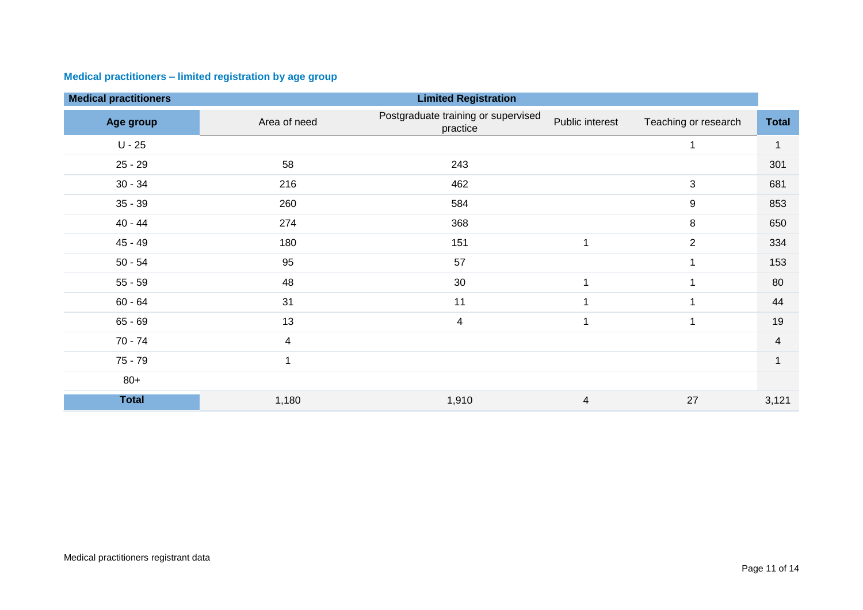### <span id="page-10-0"></span>**Medical practitioners – limited registration by age group**

| <b>Medical practitioners</b> |                | <b>Limited Registration</b>                     |                 |                      |                |
|------------------------------|----------------|-------------------------------------------------|-----------------|----------------------|----------------|
| Age group                    | Area of need   | Postgraduate training or supervised<br>practice | Public interest | Teaching or research | <b>Total</b>   |
| $U - 25$                     |                |                                                 |                 | 1                    |                |
| $25 - 29$                    | 58             | 243                                             |                 |                      | 301            |
| $30 - 34$                    | 216            | 462                                             |                 | 3                    | 681            |
| $35 - 39$                    | 260            | 584                                             |                 | 9                    | 853            |
| $40 - 44$                    | 274            | 368                                             |                 | 8                    | 650            |
| $45 - 49$                    | 180            | 151                                             | $\mathbf 1$     | 2                    | 334            |
| $50 - 54$                    | 95             | 57                                              |                 | 1                    | 153            |
| $55 - 59$                    | 48             | 30                                              | $\mathbf 1$     | 1                    | 80             |
| $60 - 64$                    | 31             | 11                                              |                 | 1                    | 44             |
| $65 - 69$                    | 13             | $\overline{\mathcal{A}}$                        | 1               | 1                    | 19             |
| $70 - 74$                    | $\overline{4}$ |                                                 |                 |                      | $\overline{4}$ |
| $75 - 79$                    |                |                                                 |                 |                      |                |
| $80+$                        |                |                                                 |                 |                      |                |
| <b>Total</b>                 | 1,180          | 1,910                                           | $\overline{4}$  | 27                   | 3,121          |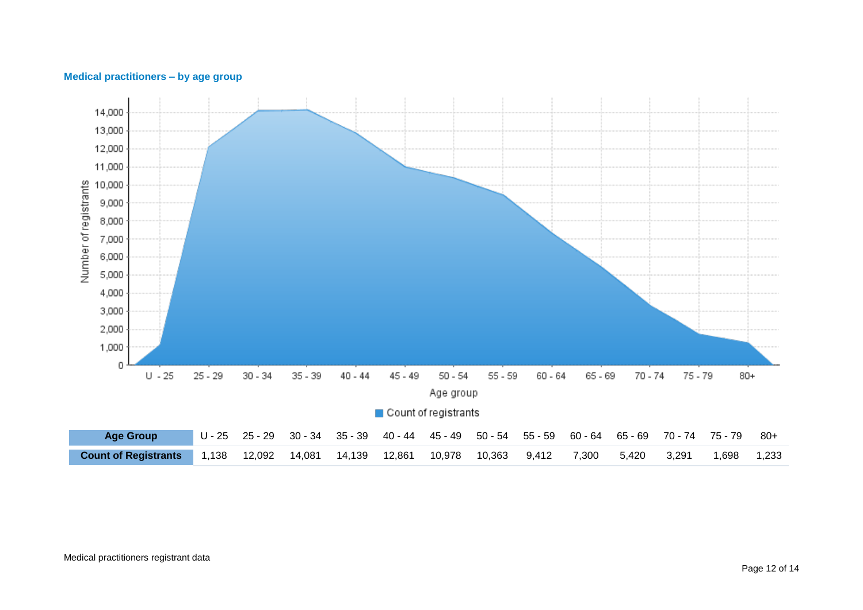<span id="page-11-0"></span>

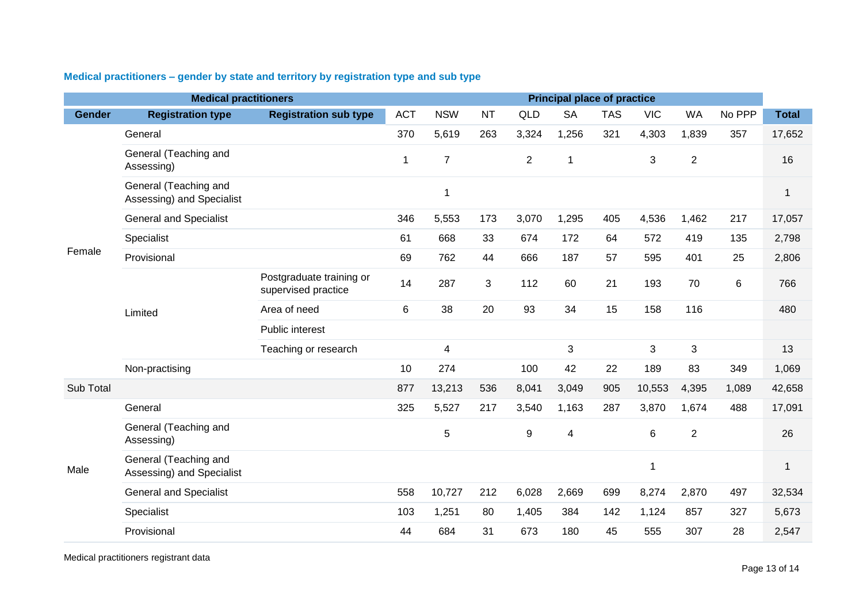|               | <b>Medical practitioners</b>                       |                                                 |            |                |           |                | <b>Principal place of practice</b> |            |            |                |        |              |
|---------------|----------------------------------------------------|-------------------------------------------------|------------|----------------|-----------|----------------|------------------------------------|------------|------------|----------------|--------|--------------|
| <b>Gender</b> | <b>Registration type</b>                           | <b>Registration sub type</b>                    | <b>ACT</b> | <b>NSW</b>     | <b>NT</b> | <b>QLD</b>     | <b>SA</b>                          | <b>TAS</b> | <b>VIC</b> | <b>WA</b>      | No PPP | <b>Total</b> |
|               | General                                            |                                                 | 370        | 5,619          | 263       | 3,324          | 1,256                              | 321        | 4,303      | 1,839          | 357    | 17,652       |
|               | General (Teaching and<br>Assessing)                |                                                 | 1          | $\overline{7}$ |           | $\overline{2}$ | 1                                  |            | 3          | $\overline{2}$ |        | 16           |
|               | General (Teaching and<br>Assessing) and Specialist |                                                 |            | 1              |           |                |                                    |            |            |                |        | $\mathbf{1}$ |
|               | <b>General and Specialist</b>                      |                                                 | 346        | 5,553          | 173       | 3,070          | 1,295                              | 405        | 4,536      | 1,462          | 217    | 17,057       |
|               | Specialist                                         |                                                 | 61         | 668            | 33        | 674            | 172                                | 64         | 572        | 419            | 135    | 2,798        |
| Female        | Provisional                                        |                                                 | 69         | 762            | 44        | 666            | 187                                | 57         | 595        | 401            | 25     | 2,806        |
|               |                                                    | Postgraduate training or<br>supervised practice | 14         | 287            | 3         | 112            | 60                                 | 21         | 193        | 70             | 6      | 766          |
|               | Limited                                            | Area of need                                    | $\,6\,$    | 38             | 20        | 93             | 34                                 | 15         | 158        | 116            |        | 480          |
|               |                                                    | Public interest                                 |            |                |           |                |                                    |            |            |                |        |              |
|               |                                                    | Teaching or research                            |            | 4              |           |                | 3                                  |            | 3          | 3              |        | 13           |
|               | Non-practising                                     |                                                 | 10         | 274            |           | 100            | 42                                 | 22         | 189        | 83             | 349    | 1,069        |
| Sub Total     |                                                    |                                                 | 877        | 13,213         | 536       | 8,041          | 3,049                              | 905        | 10,553     | 4,395          | 1,089  | 42,658       |
|               | General                                            |                                                 | 325        | 5,527          | 217       | 3,540          | 1,163                              | 287        | 3,870      | 1,674          | 488    | 17,091       |
|               | General (Teaching and<br>Assessing)                |                                                 |            | 5              |           | 9              | 4                                  |            | 6          | $\overline{2}$ |        | 26           |
| Male          | General (Teaching and<br>Assessing) and Specialist |                                                 |            |                |           |                |                                    |            | 1          |                |        | 1            |
|               | <b>General and Specialist</b>                      |                                                 | 558        | 10,727         | 212       | 6,028          | 2,669                              | 699        | 8,274      | 2,870          | 497    | 32,534       |
|               | Specialist                                         |                                                 | 103        | 1,251          | 80        | 1,405          | 384                                | 142        | 1,124      | 857            | 327    | 5,673        |
|               | Provisional                                        |                                                 | 44         | 684            | 31        | 673            | 180                                | 45         | 555        | 307            | 28     | 2,547        |

### <span id="page-12-0"></span>**Medical practitioners – gender by state and territory by registration type and sub type**

Medical practitioners registrant data